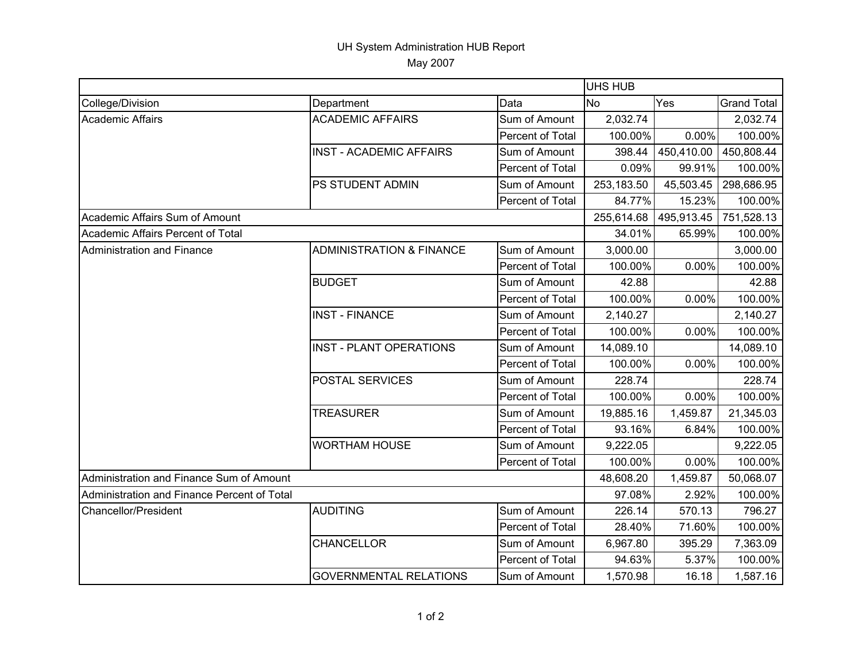## UH System Administration HUB Report May 2007

|                                             |                                     |                  | <b>UHS HUB</b> |            |                    |  |
|---------------------------------------------|-------------------------------------|------------------|----------------|------------|--------------------|--|
| College/Division                            | Department                          | Data             | <b>No</b>      | Yes        | <b>Grand Total</b> |  |
| <b>Academic Affairs</b>                     | <b>ACADEMIC AFFAIRS</b>             | Sum of Amount    | 2,032.74       |            | 2,032.74           |  |
|                                             |                                     | Percent of Total | 100.00%        | 0.00%      | 100.00%            |  |
|                                             | <b>INST - ACADEMIC AFFAIRS</b>      | Sum of Amount    | 398.44         | 450,410.00 | 450,808.44         |  |
|                                             |                                     | Percent of Total | 0.09%          | 99.91%     | 100.00%            |  |
|                                             | PS STUDENT ADMIN                    | Sum of Amount    | 253,183.50     | 45,503.45  | 298,686.95         |  |
|                                             |                                     | Percent of Total | 84.77%         | 15.23%     | 100.00%            |  |
| Academic Affairs Sum of Amount              |                                     |                  | 255,614.68     | 495,913.45 | 751,528.13         |  |
| Academic Affairs Percent of Total           |                                     |                  | 34.01%         | 65.99%     | 100.00%            |  |
| Administration and Finance                  | <b>ADMINISTRATION &amp; FINANCE</b> | Sum of Amount    | 3,000.00       |            | 3,000.00           |  |
|                                             |                                     | Percent of Total | 100.00%        | 0.00%      | 100.00%            |  |
|                                             | <b>BUDGET</b>                       | Sum of Amount    | 42.88          |            | 42.88              |  |
|                                             |                                     | Percent of Total | 100.00%        | $0.00\%$   | 100.00%            |  |
|                                             | <b>INST - FINANCE</b>               | Sum of Amount    | 2,140.27       |            | 2,140.27           |  |
|                                             |                                     | Percent of Total | 100.00%        | 0.00%      | 100.00%            |  |
|                                             | <b>INST - PLANT OPERATIONS</b>      | Sum of Amount    | 14,089.10      |            | 14,089.10          |  |
|                                             |                                     | Percent of Total | 100.00%        | 0.00%      | 100.00%            |  |
|                                             | <b>POSTAL SERVICES</b>              | Sum of Amount    | 228.74         |            | 228.74             |  |
|                                             |                                     | Percent of Total | 100.00%        | 0.00%      | 100.00%            |  |
|                                             | <b>TREASURER</b>                    | Sum of Amount    | 19,885.16      | 1,459.87   | 21,345.03          |  |
|                                             |                                     | Percent of Total | 93.16%         | 6.84%      | 100.00%            |  |
|                                             | <b>WORTHAM HOUSE</b>                | Sum of Amount    | 9,222.05       |            | 9,222.05           |  |
|                                             |                                     | Percent of Total | 100.00%        | 0.00%      | 100.00%            |  |
| Administration and Finance Sum of Amount    |                                     |                  | 48,608.20      | 1,459.87   | 50,068.07          |  |
| Administration and Finance Percent of Total |                                     |                  | 97.08%         | 2.92%      | 100.00%            |  |
| <b>Chancellor/President</b>                 | <b>AUDITING</b>                     | Sum of Amount    | 226.14         | 570.13     | 796.27             |  |
|                                             |                                     | Percent of Total | 28.40%         | 71.60%     | 100.00%            |  |
|                                             | <b>CHANCELLOR</b>                   | Sum of Amount    | 6,967.80       | 395.29     | 7,363.09           |  |
|                                             |                                     | Percent of Total | 94.63%         | 5.37%      | 100.00%            |  |
|                                             | <b>GOVERNMENTAL RELATIONS</b>       | Sum of Amount    | 1,570.98       | 16.18      | 1,587.16           |  |